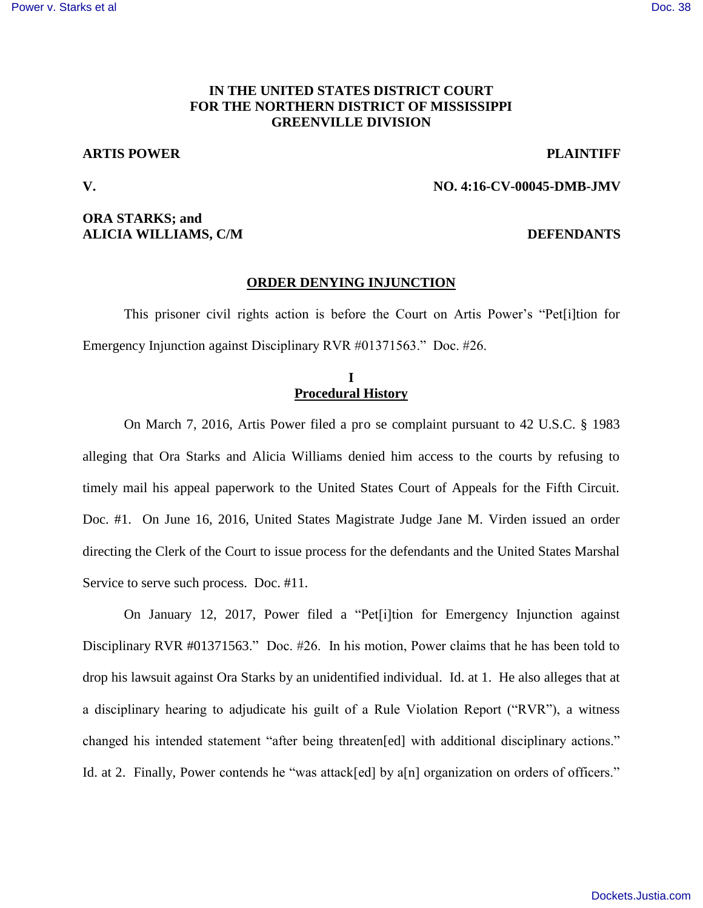## **IN THE UNITED STATES DISTRICT COURT FOR THE NORTHERN DISTRICT OF MISSISSIPPI GREENVILLE DIVISION**

## **ARTIS POWER PLAINTIFF**

**V. NO. 4:16-CV-00045-DMB-JMV** 

## **ORA STARKS; and ALICIA WILLIAMS, C/M DEFENDANTS**

### **ORDER DENYING INJUNCTION**

This prisoner civil rights action is before the Court on Artis Power's "Pet[i]tion for Emergency Injunction against Disciplinary RVR #01371563." Doc. #26.

## **I Procedural History**

On March 7, 2016, Artis Power filed a pro se complaint pursuant to 42 U.S.C. § 1983 alleging that Ora Starks and Alicia Williams denied him access to the courts by refusing to timely mail his appeal paperwork to the United States Court of Appeals for the Fifth Circuit. Doc. #1. On June 16, 2016, United States Magistrate Judge Jane M. Virden issued an order directing the Clerk of the Court to issue process for the defendants and the United States Marshal Service to serve such process. Doc. #11.

On January 12, 2017, Power filed a "Pet[i]tion for Emergency Injunction against Disciplinary RVR #01371563." Doc. #26. In his motion, Power claims that he has been told to drop his lawsuit against Ora Starks by an unidentified individual. Id. at 1. He also alleges that at a disciplinary hearing to adjudicate his guilt of a Rule Violation Report ("RVR"), a witness changed his intended statement "after being threaten[ed] with additional disciplinary actions." Id. at 2. Finally, Power contends he "was attack[ed] by a[n] organization on orders of officers."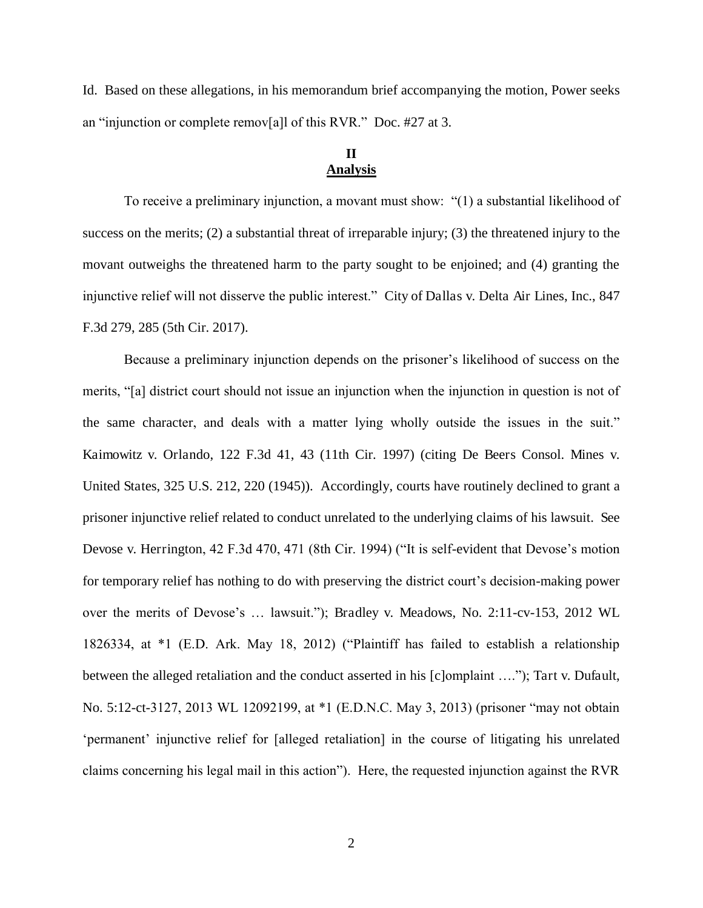Id. Based on these allegations, in his memorandum brief accompanying the motion, Power seeks an "injunction or complete remov[a]l of this RVR." Doc. #27 at 3.

# **II Analysis**

To receive a preliminary injunction, a movant must show: "(1) a substantial likelihood of success on the merits; (2) a substantial threat of irreparable injury; (3) the threatened injury to the movant outweighs the threatened harm to the party sought to be enjoined; and (4) granting the injunctive relief will not disserve the public interest." City of Dallas v. Delta Air Lines, Inc., 847 F.3d 279, 285 (5th Cir. 2017).

Because a preliminary injunction depends on the prisoner's likelihood of success on the merits, "[a] district court should not issue an injunction when the injunction in question is not of the same character, and deals with a matter lying wholly outside the issues in the suit." Kaimowitz v. Orlando, 122 F.3d 41, 43 (11th Cir. 1997) (citing De Beers Consol. Mines v. United States, 325 U.S. 212, 220 (1945)). Accordingly, courts have routinely declined to grant a prisoner injunctive relief related to conduct unrelated to the underlying claims of his lawsuit. See Devose v. Herrington, 42 F.3d 470, 471 (8th Cir. 1994) ("It is self-evident that Devose's motion for temporary relief has nothing to do with preserving the district court's decision-making power over the merits of Devose's … lawsuit."); Bradley v. Meadows, No. 2:11-cv-153, 2012 WL 1826334, at \*1 (E.D. Ark. May 18, 2012) ("Plaintiff has failed to establish a relationship between the alleged retaliation and the conduct asserted in his [c]omplaint …."); Tart v. Dufault, No. 5:12-ct-3127, 2013 WL 12092199, at \*1 (E.D.N.C. May 3, 2013) (prisoner "may not obtain 'permanent' injunctive relief for [alleged retaliation] in the course of litigating his unrelated claims concerning his legal mail in this action"). Here, the requested injunction against the RVR